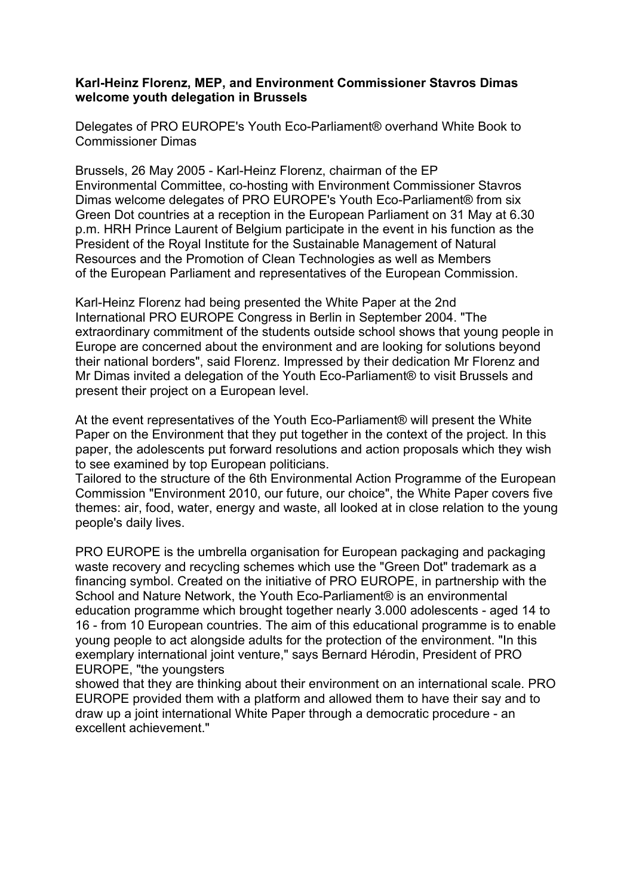## **Karl-Heinz Florenz, MEP, and Environment Commissioner Stavros Dimas welcome youth delegation in Brussels**

Delegates of PRO EUROPE's Youth Eco-Parliament® overhand White Book to Commissioner Dimas

Brussels, 26 May 2005 - Karl-Heinz Florenz, chairman of the EP Environmental Committee, co-hosting with Environment Commissioner Stavros Dimas welcome delegates of PRO EUROPE's Youth Eco-Parliament® from six Green Dot countries at a reception in the European Parliament on 31 May at 6.30 p.m. HRH Prince Laurent of Belgium participate in the event in his function as the President of the Royal Institute for the Sustainable Management of Natural Resources and the Promotion of Clean Technologies as well as Members of the European Parliament and representatives of the European Commission.

Karl-Heinz Florenz had being presented the White Paper at the 2nd International PRO EUROPE Congress in Berlin in September 2004. "The extraordinary commitment of the students outside school shows that young people in Europe are concerned about the environment and are looking for solutions beyond their national borders", said Florenz. Impressed by their dedication Mr Florenz and Mr Dimas invited a delegation of the Youth Eco-Parliament® to visit Brussels and present their project on a European level.

At the event representatives of the Youth Eco-Parliament® will present the White Paper on the Environment that they put together in the context of the project. In this paper, the adolescents put forward resolutions and action proposals which they wish to see examined by top European politicians.

Tailored to the structure of the 6th Environmental Action Programme of the European Commission "Environment 2010, our future, our choice", the White Paper covers five themes: air, food, water, energy and waste, all looked at in close relation to the young people's daily lives.

PRO EUROPE is the umbrella organisation for European packaging and packaging waste recovery and recycling schemes which use the "Green Dot" trademark as a financing symbol. Created on the initiative of PRO EUROPE, in partnership with the School and Nature Network, the Youth Eco-Parliament® is an environmental education programme which brought together nearly 3.000 adolescents - aged 14 to 16 - from 10 European countries. The aim of this educational programme is to enable young people to act alongside adults for the protection of the environment. "In this exemplary international joint venture," says Bernard Hérodin, President of PRO EUROPE, "the youngsters

showed that they are thinking about their environment on an international scale. PRO EUROPE provided them with a platform and allowed them to have their say and to draw up a joint international White Paper through a democratic procedure - an excellent achievement."